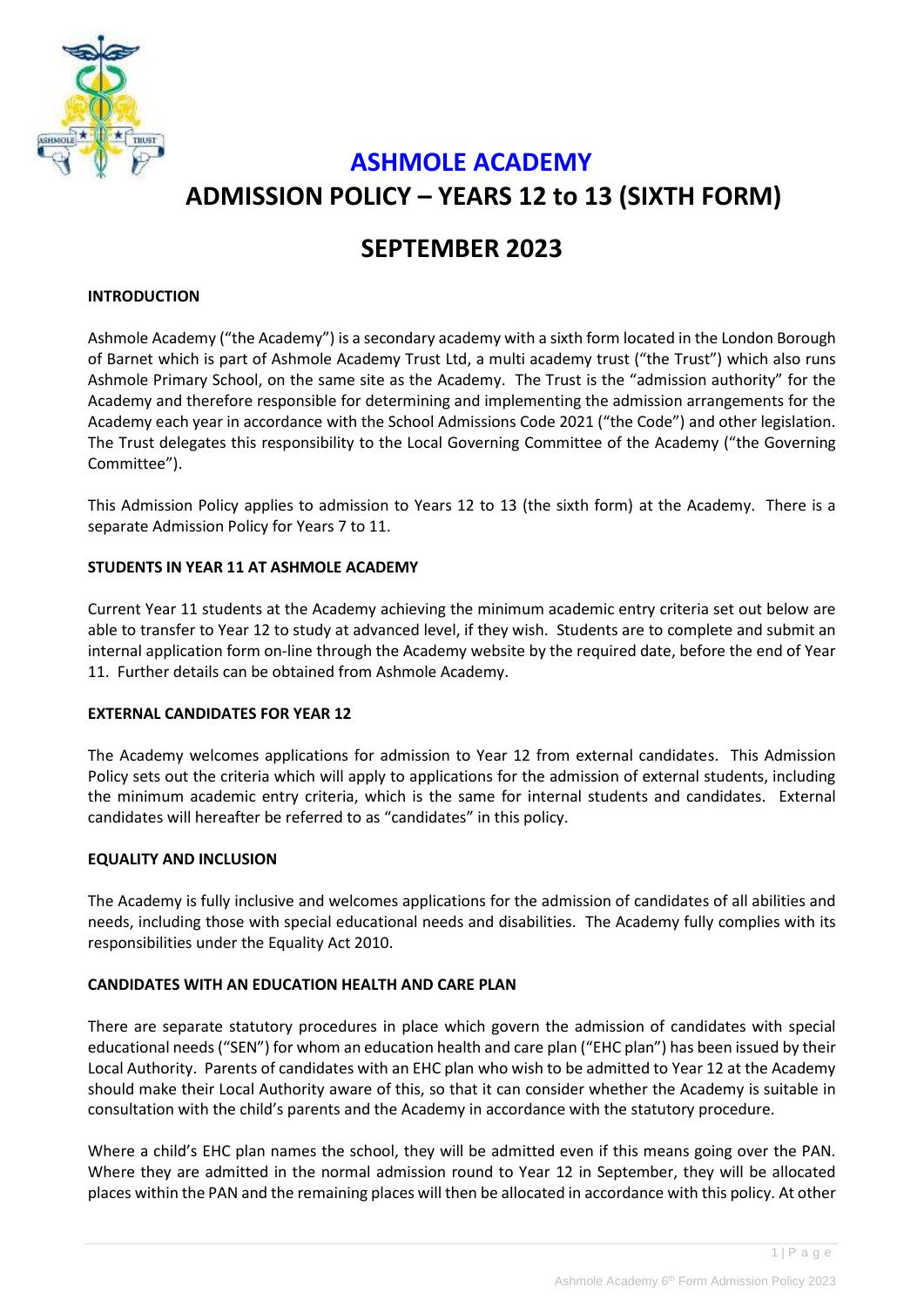

# **ASHMOLE ACADEMY ADMISSION POLICY – YEARS 12 to 13 (SIXTH FORM)**

# **SEPTEMBER 2023**

#### **INTRODUCTION**

Ashmole Academy ("the Academy") is a secondary academy with a sixth form located in the London Borough of Barnet which is part of Ashmole Academy Trust Ltd, a multi academy trust ("the Trust") which also runs Ashmole Primary School, on the same site as the Academy. The Trust is the "admission authority" for the Academy and therefore responsible for determining and implementing the admission arrangements for the Academy each year in accordance with the School Admissions Code 2021 ("the Code") and other legislation. The Trust delegates this responsibility to the Local Governing Committee of the Academy ("the Governing Committee").

This Admission Policy applies to admission to Years 12 to 13 (the sixth form) at the Academy. There is a separate Admission Policy for Years 7 to 11.

# **STUDENTS IN YEAR 11 AT ASHMOLE ACADEMY**

Current Year 11 students at the Academy achieving the minimum academic entry criteria set out below are able to transfer to Year 12 to study at advanced level, if they wish. Students are to complete and submit an internal application form on-line through the Academy website by the required date, before the end of Year 11. Further details can be obtained from Ashmole Academy.

# **EXTERNAL CANDIDATES FOR YEAR 12**

The Academy welcomes applications for admission to Year 12 from external candidates. This Admission Policy sets out the criteria which will apply to applications for the admission of external students, including the minimum academic entry criteria, which is the same for internal students and candidates. External candidates will hereafter be referred to as "candidates" in this policy.

#### **EQUALITY AND INCLUSION**

The Academy is fully inclusive and welcomes applications for the admission of candidates of all abilities and needs, including those with special educational needs and disabilities. The Academy fully complies with its responsibilities under the Equality Act 2010.

#### **CANDIDATES WITH AN EDUCATION HEALTH AND CARE PLAN**

There are separate statutory procedures in place which govern the admission of candidates with special educational needs ("SEN") for whom an education health and care plan ("EHC plan") has been issued by their Local Authority. Parents of candidates with an EHC plan who wish to be admitted to Year 12 at the Academy should make their Local Authority aware of this, so that it can consider whether the Academy is suitable in consultation with the child's parents and the Academy in accordance with the statutory procedure.

Where a child's EHC plan names the school, they will be admitted even if this means going over the PAN. Where they are admitted in the normal admission round to Year 12 in September, they will be allocated places within the PAN and the remaining places will then be allocated in accordance with this policy. At other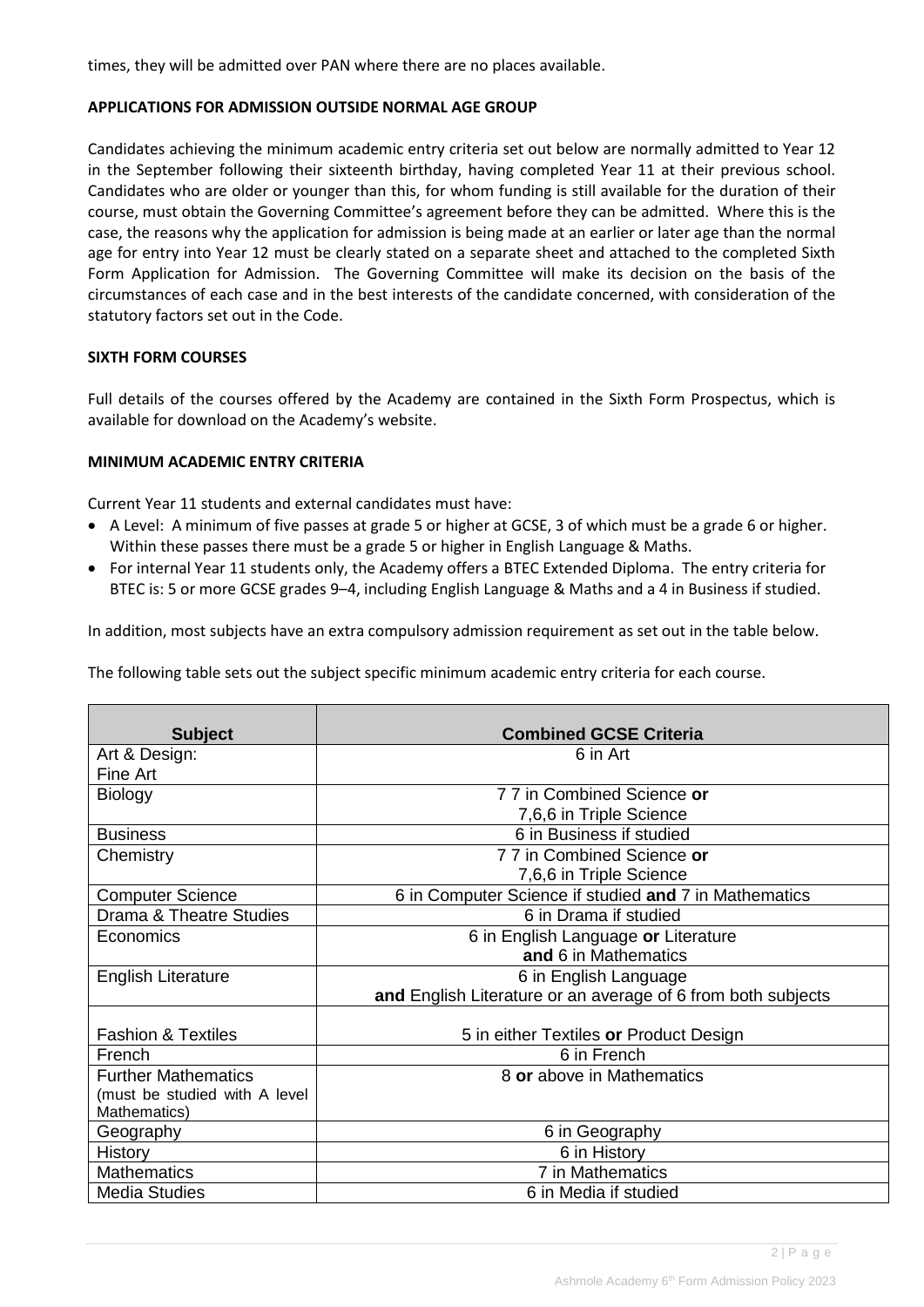times, they will be admitted over PAN where there are no places available.

#### **APPLICATIONS FOR ADMISSION OUTSIDE NORMAL AGE GROUP**

Candidates achieving the minimum academic entry criteria set out below are normally admitted to Year 12 in the September following their sixteenth birthday, having completed Year 11 at their previous school. Candidates who are older or younger than this, for whom funding is still available for the duration of their course, must obtain the Governing Committee's agreement before they can be admitted. Where this is the case, the reasons why the application for admission is being made at an earlier or later age than the normal age for entry into Year 12 must be clearly stated on a separate sheet and attached to the completed Sixth Form Application for Admission. The Governing Committee will make its decision on the basis of the circumstances of each case and in the best interests of the candidate concerned, with consideration of the statutory factors set out in the Code.

# **SIXTH FORM COURSES**

Full details of the courses offered by the Academy are contained in the Sixth Form Prospectus, which is available for download on the Academy's website.

# **MINIMUM ACADEMIC ENTRY CRITERIA**

Current Year 11 students and external candidates must have:

- A Level: A minimum of five passes at grade 5 or higher at GCSE, 3 of which must be a grade 6 or higher. Within these passes there must be a grade 5 or higher in English Language & Maths.
- For internal Year 11 students only, the Academy offers a BTEC Extended Diploma. The entry criteria for BTEC is: 5 or more GCSE grades 9–4, including English Language & Maths and a 4 in Business if studied.

In addition, most subjects have an extra compulsory admission requirement as set out in the table below.

The following table sets out the subject specific minimum academic entry criteria for each course.

| <b>Subject</b>                | <b>Combined GCSE Criteria</b>                                |
|-------------------------------|--------------------------------------------------------------|
| Art & Design:                 | 6 in Art                                                     |
| Fine Art                      |                                                              |
| <b>Biology</b>                | 7 7 in Combined Science or                                   |
|                               |                                                              |
|                               | 7,6,6 in Triple Science                                      |
| <b>Business</b>               | 6 in Business if studied                                     |
| Chemistry                     | 7 7 in Combined Science or                                   |
|                               | 7,6,6 in Triple Science                                      |
| <b>Computer Science</b>       | 6 in Computer Science if studied and 7 in Mathematics        |
| Drama & Theatre Studies       | 6 in Drama if studied                                        |
| Economics                     | 6 in English Language or Literature                          |
|                               | and 6 in Mathematics                                         |
| English Literature            | 6 in English Language                                        |
|                               | and English Literature or an average of 6 from both subjects |
|                               |                                                              |
| <b>Fashion &amp; Textiles</b> | 5 in either Textiles or Product Design                       |
| French                        | 6 in French                                                  |
| <b>Further Mathematics</b>    | 8 or above in Mathematics                                    |
| (must be studied with A level |                                                              |
| Mathematics)                  |                                                              |
| Geography                     | 6 in Geography                                               |
| <b>History</b>                | 6 in History                                                 |
| <b>Mathematics</b>            | 7 in Mathematics                                             |
| <b>Media Studies</b>          | 6 in Media if studied                                        |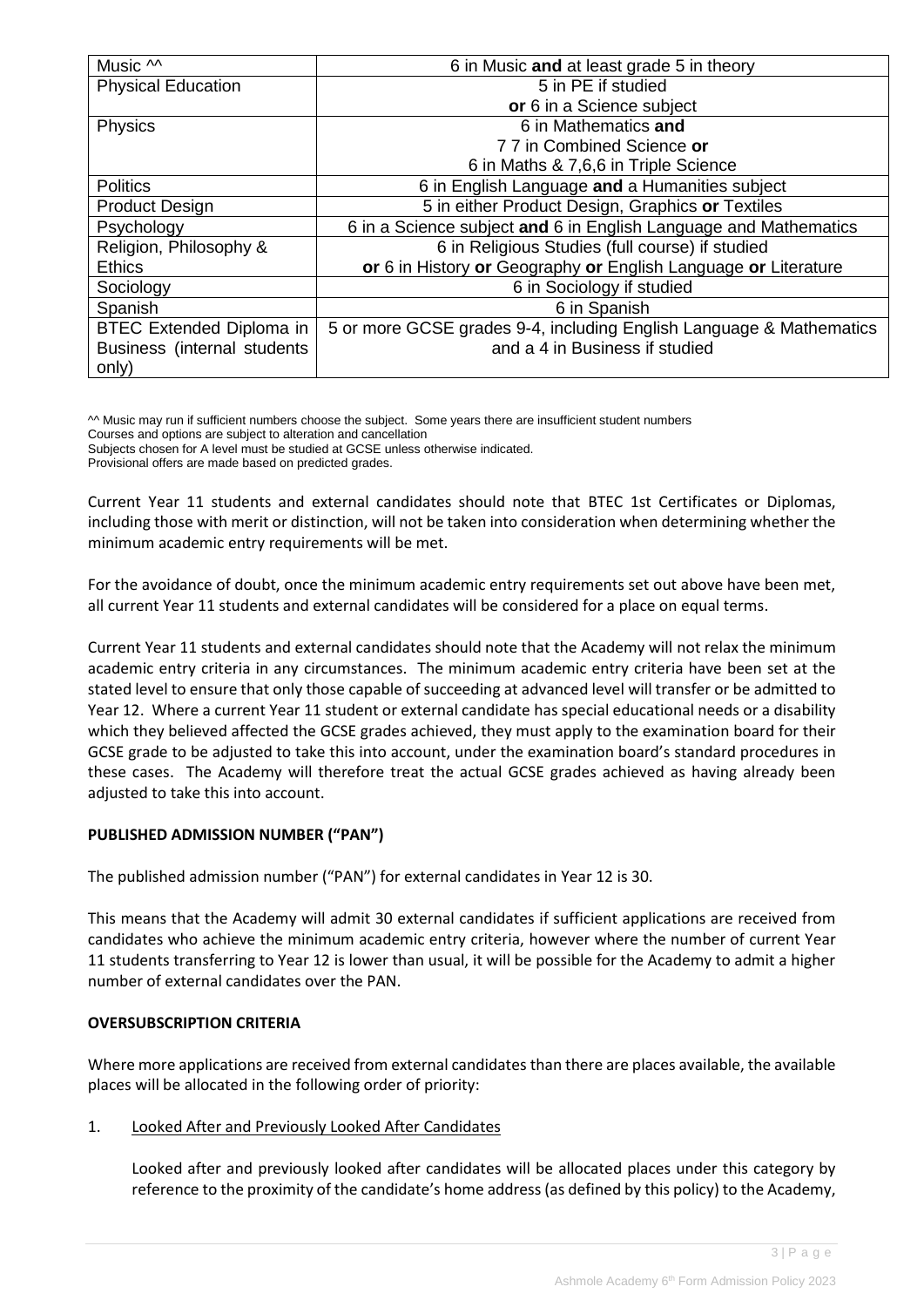| Music $\sim$                    | 6 in Music and at least grade 5 in theory                           |
|---------------------------------|---------------------------------------------------------------------|
| <b>Physical Education</b>       | 5 in PE if studied                                                  |
|                                 | or 6 in a Science subject                                           |
| Physics                         | 6 in Mathematics and                                                |
|                                 | 77 in Combined Science or                                           |
|                                 | 6 in Maths & 7,6,6 in Triple Science                                |
| <b>Politics</b>                 | 6 in English Language and a Humanities subject                      |
| <b>Product Design</b>           | 5 in either Product Design, Graphics or Textiles                    |
| Psychology                      | 6 in a Science subject and 6 in English Language and Mathematics    |
| Religion, Philosophy &          | 6 in Religious Studies (full course) if studied                     |
| <b>Ethics</b>                   | or 6 in History or Geography or English Language or Literature      |
| Sociology                       | 6 in Sociology if studied                                           |
| Spanish                         | 6 in Spanish                                                        |
| <b>BTEC Extended Diploma in</b> | 5 or more GCSE grades 9-4, including English Language & Mathematics |
| Business (internal students     | and a 4 in Business if studied                                      |
| only)                           |                                                                     |

^^ Music may run if sufficient numbers choose the subject. Some years there are insufficient student numbers

Courses and options are subject to alteration and cancellation

Subjects chosen for A level must be studied at GCSE unless otherwise indicated.

Provisional offers are made based on predicted grades.

Current Year 11 students and external candidates should note that BTEC 1st Certificates or Diplomas, including those with merit or distinction, will not be taken into consideration when determining whether the minimum academic entry requirements will be met.

For the avoidance of doubt, once the minimum academic entry requirements set out above have been met, all current Year 11 students and external candidates will be considered for a place on equal terms.

Current Year 11 students and external candidates should note that the Academy will not relax the minimum academic entry criteria in any circumstances. The minimum academic entry criteria have been set at the stated level to ensure that only those capable of succeeding at advanced level will transfer or be admitted to Year 12. Where a current Year 11 student or external candidate has special educational needs or a disability which they believed affected the GCSE grades achieved, they must apply to the examination board for their GCSE grade to be adjusted to take this into account, under the examination board's standard procedures in these cases. The Academy will therefore treat the actual GCSE grades achieved as having already been adjusted to take this into account.

# **PUBLISHED ADMISSION NUMBER ("PAN")**

The published admission number ("PAN") for external candidates in Year 12 is 30.

This means that the Academy will admit 30 external candidates if sufficient applications are received from candidates who achieve the minimum academic entry criteria, however where the number of current Year 11 students transferring to Year 12 is lower than usual, it will be possible for the Academy to admit a higher number of external candidates over the PAN.

# **OVERSUBSCRIPTION CRITERIA**

Where more applications are received from external candidates than there are places available, the available places will be allocated in the following order of priority:

# 1. Looked After and Previously Looked After Candidates

Looked after and previously looked after candidates will be allocated places under this category by reference to the proximity of the candidate's home address (as defined by this policy) to the Academy,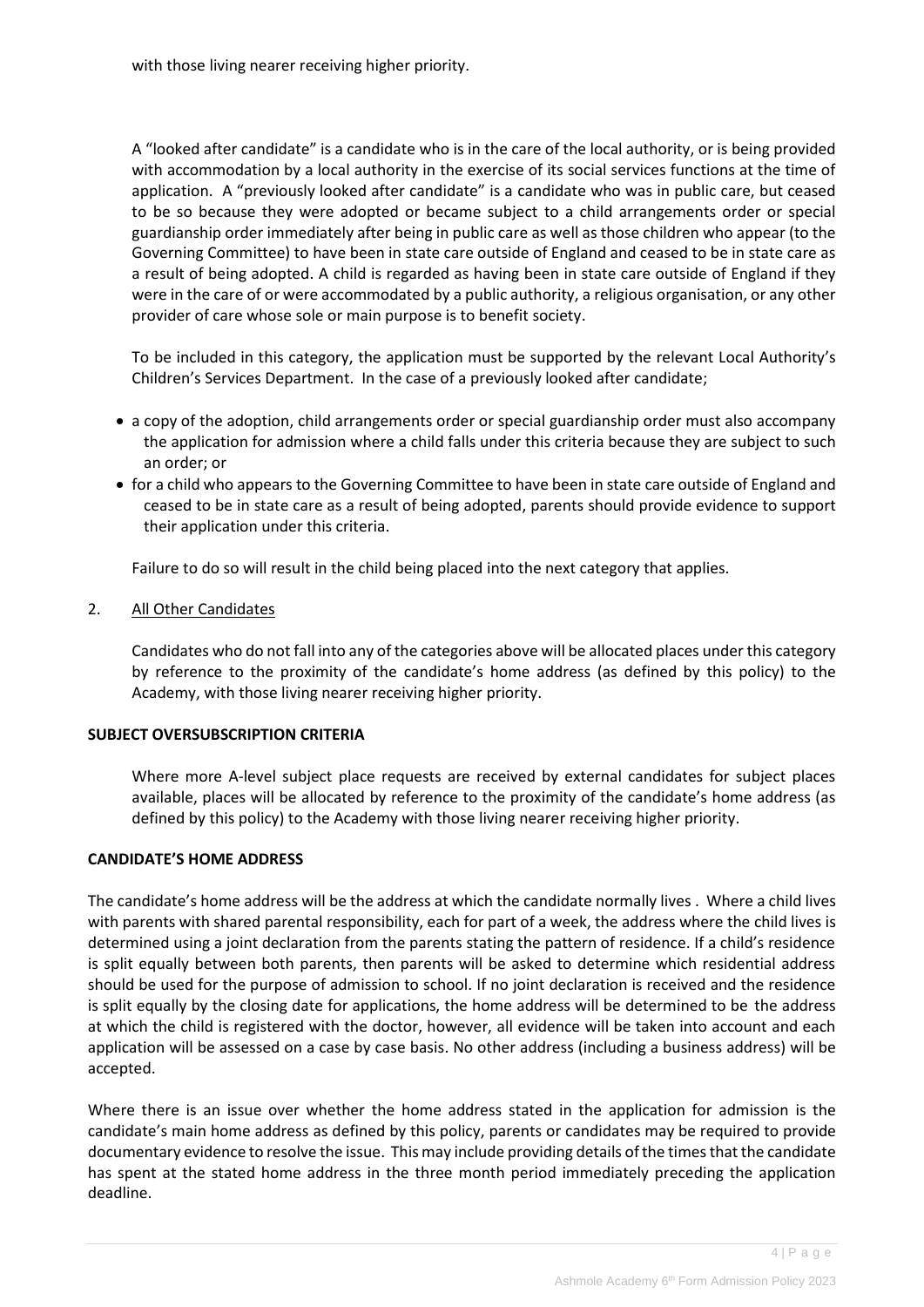with those living nearer receiving higher priority.

A "looked after candidate" is a candidate who is in the care of the local authority, or is being provided with accommodation by a local authority in the exercise of its social services functions at the time of application. A "previously looked after candidate" is a candidate who was in public care, but ceased to be so because they were adopted or became subject to a child arrangements order or special guardianship order immediately after being in public care as well as those children who appear (to the Governing Committee) to have been in state care outside of England and ceased to be in state care as a result of being adopted. A child is regarded as having been in state care outside of England if they were in the care of or were accommodated by a public authority, a religious organisation, or any other provider of care whose sole or main purpose is to benefit society.

To be included in this category, the application must be supported by the relevant Local Authority's Children's Services Department. In the case of a previously looked after candidate;

- a copy of the adoption, child arrangements order or special guardianship order must also accompany the application for admission where a child falls under this criteria because they are subject to such an order; or
- for a child who appears to the Governing Committee to have been in state care outside of England and ceased to be in state care as a result of being adopted, parents should provide evidence to support their application under this criteria.

Failure to do so will result in the child being placed into the next category that applies.

# 2. All Other Candidates

Candidates who do not fall into any of the categories above will be allocated places under this category by reference to the proximity of the candidate's home address (as defined by this policy) to the Academy, with those living nearer receiving higher priority.

#### **SUBJECT OVERSUBSCRIPTION CRITERIA**

Where more A-level subject place requests are received by external candidates for subject places available, places will be allocated by reference to the proximity of the candidate's home address (as defined by this policy) to the Academy with those living nearer receiving higher priority.

#### **CANDIDATE'S HOME ADDRESS**

The candidate's home address will be the address at which the candidate normally lives . Where a child lives with parents with shared parental responsibility, each for part of a week, the address where the child lives is determined using a joint declaration from the parents stating the pattern of residence. If a child's residence is split equally between both parents, then parents will be asked to determine which residential address should be used for the purpose of admission to school. If no joint declaration is received and the residence is split equally by the closing date for applications, the home address will be determined to be the address at which the child is registered with the doctor, however, all evidence will be taken into account and each application will be assessed on a case by case basis. No other address (including a business address) will be accepted.

Where there is an issue over whether the home address stated in the application for admission is the candidate's main home address as defined by this policy, parents or candidates may be required to provide documentary evidence to resolve the issue. This may include providing details of the times that the candidate has spent at the stated home address in the three month period immediately preceding the application deadline.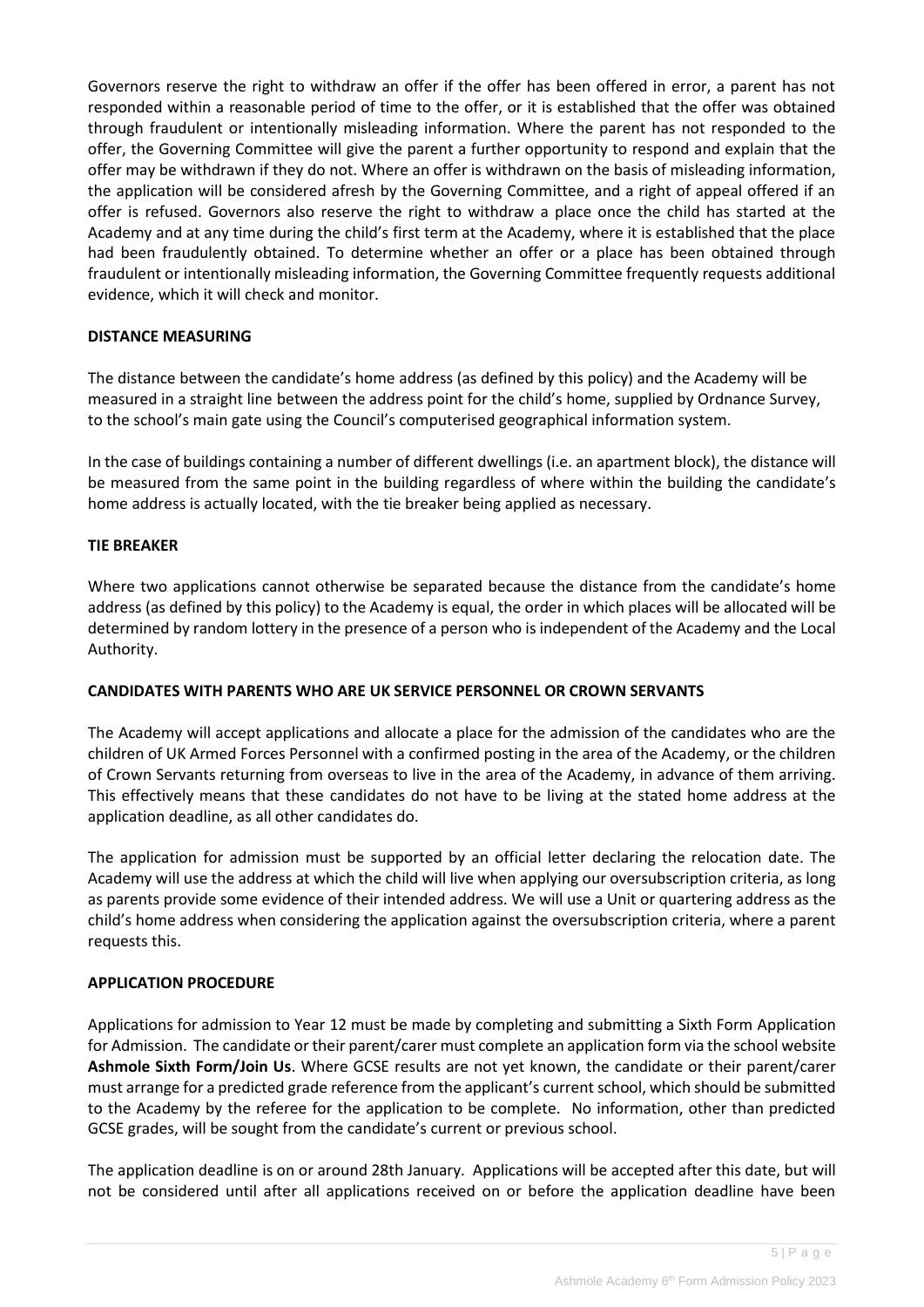Governors reserve the right to withdraw an offer if the offer has been offered in error, a parent has not responded within a reasonable period of time to the offer, or it is established that the offer was obtained through fraudulent or intentionally misleading information. Where the parent has not responded to the offer, the Governing Committee will give the parent a further opportunity to respond and explain that the offer may be withdrawn if they do not. Where an offer is withdrawn on the basis of misleading information, the application will be considered afresh by the Governing Committee, and a right of appeal offered if an offer is refused. Governors also reserve the right to withdraw a place once the child has started at the Academy and at any time during the child's first term at the Academy, where it is established that the place had been fraudulently obtained. To determine whether an offer or a place has been obtained through fraudulent or intentionally misleading information, the Governing Committee frequently requests additional evidence, which it will check and monitor.

# **DISTANCE MEASURING**

The distance between the candidate's home address (as defined by this policy) and the Academy will be measured in a straight line between the address point for the child's home, supplied by Ordnance Survey, to the school's main gate using the Council's computerised geographical information system.

In the case of buildings containing a number of different dwellings (i.e. an apartment block), the distance will be measured from the same point in the building regardless of where within the building the candidate's home address is actually located, with the tie breaker being applied as necessary.

# **TIE BREAKER**

Where two applications cannot otherwise be separated because the distance from the candidate's home address (as defined by this policy) to the Academy is equal, the order in which places will be allocated will be determined by random lottery in the presence of a person who is independent of the Academy and the Local Authority.

# **CANDIDATES WITH PARENTS WHO ARE UK SERVICE PERSONNEL OR CROWN SERVANTS**

The Academy will accept applications and allocate a place for the admission of the candidates who are the children of UK Armed Forces Personnel with a confirmed posting in the area of the Academy, or the children of Crown Servants returning from overseas to live in the area of the Academy, in advance of them arriving. This effectively means that these candidates do not have to be living at the stated home address at the application deadline, as all other candidates do.

The application for admission must be supported by an official letter declaring the relocation date. The Academy will use the address at which the child will live when applying our oversubscription criteria, as long as parents provide some evidence of their intended address. We will use a Unit or quartering address as the child's home address when considering the application against the oversubscription criteria, where a parent requests this.

# **APPLICATION PROCEDURE**

Applications for admission to Year 12 must be made by completing and submitting a Sixth Form Application for Admission. The candidate or their parent/carer must complete an application form via the school website **Ashmole Sixth Form/Join Us**. Where GCSE results are not yet known, the candidate or their parent/carer must arrange for a predicted grade reference from the applicant's current school, which should be submitted to the Academy by the referee for the application to be complete. No information, other than predicted GCSE grades, will be sought from the candidate's current or previous school.

The application deadline is on or around 28th January. Applications will be accepted after this date, but will not be considered until after all applications received on or before the application deadline have been